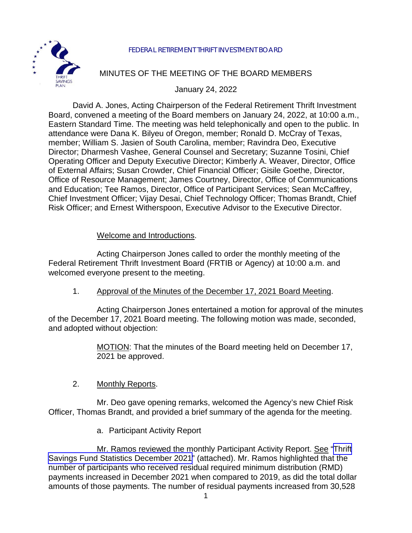



# MINUTES OF THE MEETING OF THE BOARD MEMBERS

January 24, 2022

David A. Jones, Acting Chairperson of the Federal Retirement Thrift Investment Board, convened a meeting of the Board members on January 24, 2022, at 10:00 a.m., Eastern Standard Time. The meeting was held telephonically and open to the public. In attendance were Dana K. Bilyeu of Oregon, member; Ronald D. McCray of Texas, member; William S. Jasien of South Carolina, member; Ravindra Deo, Executive Director; Dharmesh Vashee, General Counsel and Secretary; Suzanne Tosini, Chief Operating Officer and Deputy Executive Director; Kimberly A. Weaver, Director, Office of External Affairs; Susan Crowder, Chief Financial Officer; Gisile Goethe, Director, Office of Resource Management; James Courtney, Director, Office of Communications and Education; Tee Ramos, Director, Office of Participant Services; Sean McCaffrey, Chief Investment Officer; Vijay Desai, Chief Technology Officer; Thomas Brandt, Chief Risk Officer; and Ernest Witherspoon, Executive Advisor to the Executive Director.

### Welcome and Introductions.

Acting Chairperson Jones called to order the monthly meeting of the Federal Retirement Thrift Investment Board (FRTIB or Agency) at 10:00 a.m. and welcomed everyone present to the meeting.

1. Approval of the Minutes of the December 17, 2021 Board Meeting.

Acting Chairperson Jones entertained a motion for approval of the minutes of the December 17, 2021 Board meeting. The following motion was made, seconded, and adopted without objection:

> MOTION: That the minutes of the Board meeting held on December 17, 2021 be approved.

#### 2. Monthly Reports.

Mr. Deo gave opening remarks, welcomed the Agency's new Chief Risk Officer, Thomas Brandt, and provided a brief summary of the agenda for the meeting.

a. Participant Activity Report

Mr. Ramos reviewed the monthly Participant Activity Report. See "[Thrift](https://www.frtib.gov/pdf/minutes/2022/Jan/MM-2022Jan-Att1.pdf) [Savings Fund Statistics December 2021](https://www.frtib.gov/pdf/minutes/2022/Jan/MM-2022Jan-Att1.pdf)" (attached). Mr. Ramos highlighted that the number of participants who received residual required minimum distribution (RMD) payments increased in December 2021 when compared to 2019, as did the total dollar amounts of those payments. The number of residual payments increased from 30,528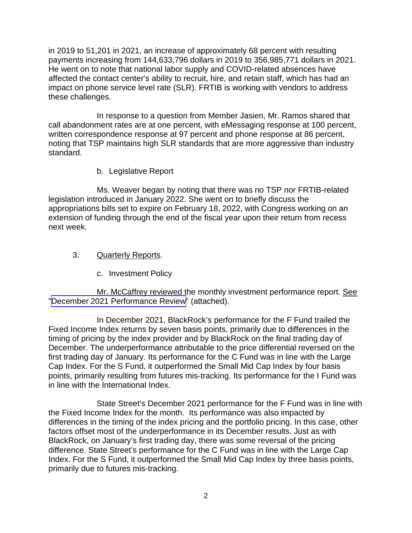in 2019 to 51,201 in 2021, an increase of approximately 68 percent with resulting payments increasing from 144,633,796 dollars in 2019 to 356,985,771 dollars in 2021. He went on to note that national labor supply and COVID-related absences have affected the contact center's ability to recruit, hire, and retain staff, which has had an impact on phone service level rate (SLR). FRTIB is working with vendors to address these challenges.

In response to a question from Member Jasien, Mr. Ramos shared that call abandonment rates are at one percent, with eMessaging response at 100 percent, written correspondence response at 97 percent and phone response at 86 percent, noting that TSP maintains high SLR standards that are more aggressive than industry standard.

b. Legislative Report

Ms. Weaver began by noting that there was no TSP nor FRTIB-related legislation introduced in January 2022. She went on to briefly discuss the appropriations bills set to expire on February 18, 2022, with Congress working on an extension of funding through the end of the fiscal year upon their return from recess next week.

- 3. Quarterly Reports.
	- c. Investment Policy

Mr. McCaffrey reviewed the monthly investment performance report. See "December 2021 [Performance Review](https://www.frtib.gov/pdf/minutes/2022/Jan/MM-2022Jan-Att2.pdf)" (attached).

In December 2021, BlackRock's performance for the F Fund trailed the Fixed Income Index returns by seven basis points, primarily due to differences in the timing of pricing by the index provider and by BlackRock on the final trading day of December. The underperformance attributable to the price differential reversed on the first trading day of January. Its performance for the C Fund was in line with the Large Cap Index. For the S Fund, it outperformed the Small Mid Cap Index by four basis points, primarily resulting from futures mis-tracking. Its performance for the I Fund was in line with the International Index.

State Street's December 2021 performance for the F Fund was in line with the Fixed Income Index for the month. Its performance was also impacted by differences in the timing of the index pricing and the portfolio pricing. In this case, other factors offset most of the underperformance in its December results. Just as with BlackRock, on January's first trading day, there was some reversal of the pricing difference. State Street's performance for the C Fund was in line with the Large Cap Index. For the S Fund, it outperformed the Small Mid Cap Index by three basis points, primarily due to futures mis-tracking.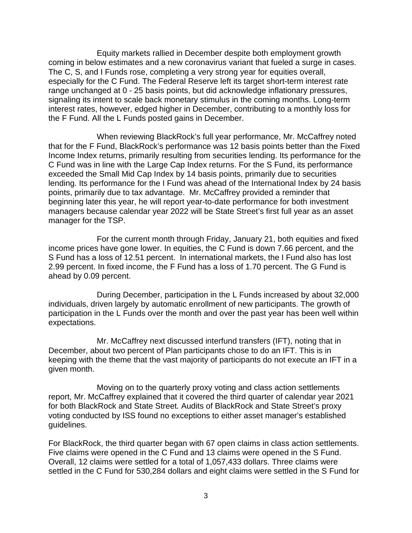Equity markets rallied in December despite both employment growth coming in below estimates and a new coronavirus variant that fueled a surge in cases. The C, S, and I Funds rose, completing a very strong year for equities overall, especially for the C Fund. The Federal Reserve left its target short-term interest rate range unchanged at 0 - 25 basis points, but did acknowledge inflationary pressures, signaling its intent to scale back monetary stimulus in the coming months. Long-term interest rates, however, edged higher in December, contributing to a monthly loss for the F Fund. All the L Funds posted gains in December.

When reviewing BlackRock's full year performance, Mr. McCaffrey noted that for the F Fund, BlackRock's performance was 12 basis points better than the Fixed Income Index returns, primarily resulting from securities lending. Its performance for the C Fund was in line with the Large Cap Index returns. For the S Fund, its performance exceeded the Small Mid Cap Index by 14 basis points, primarily due to securities lending. Its performance for the I Fund was ahead of the International Index by 24 basis points, primarily due to tax advantage. Mr. McCaffrey provided a reminder that beginning later this year, he will report year-to-date performance for both investment managers because calendar year 2022 will be State Street's first full year as an asset manager for the TSP.

For the current month through Friday, January 21, both equities and fixed income prices have gone lower. In equities, the C Fund is down 7.66 percent, and the S Fund has a loss of 12.51 percent. In international markets, the I Fund also has lost 2.99 percent. In fixed income, the F Fund has a loss of 1.70 percent. The G Fund is ahead by 0.09 percent.

During December, participation in the L Funds increased by about 32,000 individuals, driven largely by automatic enrollment of new participants. The growth of participation in the L Funds over the month and over the past year has been well within expectations.

Mr. McCaffrey next discussed interfund transfers (IFT), noting that in December, about two percent of Plan participants chose to do an IFT. This is in keeping with the theme that the vast majority of participants do not execute an IFT in a given month.

Moving on to the quarterly proxy voting and class action settlements report, Mr. McCaffrey explained that it covered the third quarter of calendar year 2021 for both BlackRock and State Street. Audits of BlackRock and State Street's proxy voting conducted by ISS found no exceptions to either asset manager's established guidelines.

For BlackRock, the third quarter began with 67 open claims in class action settlements. Five claims were opened in the C Fund and 13 claims were opened in the S Fund. Overall, 12 claims were settled for a total of 1,057,433 dollars. Three claims were settled in the C Fund for 530,284 dollars and eight claims were settled in the S Fund for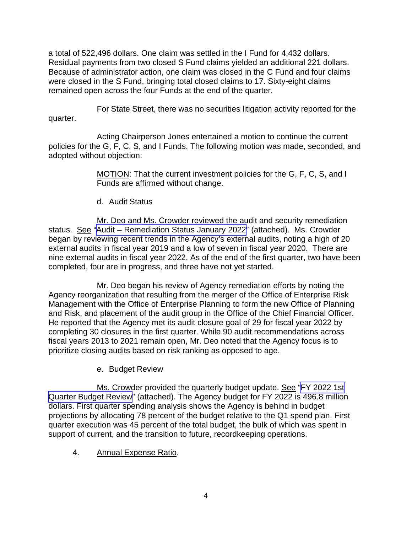a total of 522,496 dollars. One claim was settled in the I Fund for 4,432 dollars. Residual payments from two closed S Fund claims yielded an additional 221 dollars. Because of administrator action, one claim was closed in the C Fund and four claims were closed in the S Fund, bringing total closed claims to 17. Sixty-eight claims remained open across the four Funds at the end of the quarter.

For State Street, there was no securities litigation activity reported for the quarter.

Acting Chairperson Jones entertained a motion to continue the current policies for the G, F, C, S, and I Funds. The following motion was made, seconded, and adopted without objection:

> MOTION: That the current investment policies for the G, F, C, S, and I Funds are affirmed without change.

d. Audit Status

Mr. Deo and Ms. Crowder reviewed the audit and security remediation status. See ["Audit – Remediation](https://www.frtib.gov/pdf/minutes/2022/Jan/MM-2022Jan-Att3.pdf) Status January 2022" (attached). Ms. Crowder began by reviewing recent trends in the Agency's external audits, noting a high of 20 external audits in fiscal year 2019 and a low of seven in fiscal year 2020. There are nine external audits in fiscal year 2022. As of the end of the first quarter, two have been completed, four are in progress, and three have not yet started.

Mr. Deo began his review of Agency remediation efforts by noting the Agency reorganization that resulting from the merger of the Office of Enterprise Risk Management with the Office of Enterprise Planning to form the new Office of Planning and Risk, and placement of the audit group in the Office of the Chief Financial Officer. He reported that the Agency met its audit closure goal of 29 for fiscal year 2022 by completing 30 closures in the first quarter. While 90 audit recommendations across fiscal years 2013 to 2021 remain open, Mr. Deo noted that the Agency focus is to prioritize closing audits based on risk ranking as opposed to age.

e. Budget Review

Ms. Crowder provided the quarterly budget update. See ["FY 2022 1st](https://www.frtib.gov/pdf/minutes/2022/Jan/MM-2022Jan-Att4.pdf) [Quarter Budget Review"](https://www.frtib.gov/pdf/minutes/2022/Jan/MM-2022Jan-Att4.pdf) (attached). The Agency budget for FY 2022 is 496.8 million dollars. First quarter spending analysis shows the Agency is behind in budget projections by allocating 78 percent of the budget relative to the Q1 spend plan. First quarter execution was 45 percent of the total budget, the bulk of which was spent in support of current, and the transition to future, recordkeeping operations.

4. Annual Expense Ratio.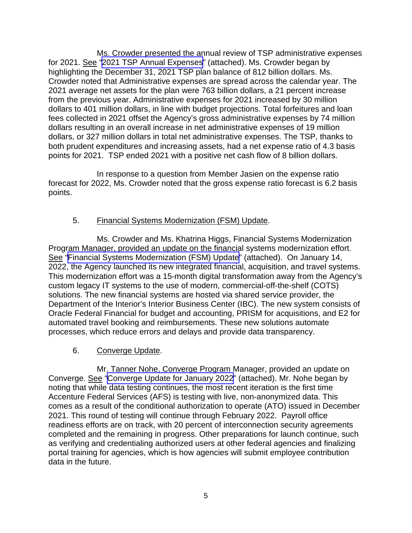Ms. Crowder presented the annual review of TSP administrative expenses for 2021. See ["2021 TSP Annual Expenses"](https://www.frtib.gov/pdf/minutes/2022/Jan/MM-2022Jan-Att5.pdf) (attached). Ms. Crowder began by highlighting the December 31, 2021 TSP plan balance of 812 billion dollars. Ms. Crowder noted that Administrative expenses are spread across the calendar year. The 2021 average net assets for the plan were 763 billion dollars, a 21 percent increase from the previous year. Administrative expenses for 2021 increased by 30 million dollars to 401 million dollars, in line with budget projections. Total forfeitures and loan fees collected in 2021 offset the Agency's gross administrative expenses by 74 million dollars resulting in an overall increase in net administrative expenses of 19 million dollars, or 327 million dollars in total net administrative expenses. The TSP, thanks to both prudent expenditures and increasing assets, had a net expense ratio of 4.3 basis points for 2021. TSP ended 2021 with a positive net cash flow of 8 billion dollars.

In response to a question from Member Jasien on the expense ratio forecast for 2022, Ms. Crowder noted that the gross expense ratio forecast is 6.2 basis points.

## 5. Financial Systems Modernization (FSM) Update.

Ms. Crowder and Ms. Khatrina Higgs, Financial Systems Modernization Program Manager, provided an update on the financial systems modernization effort. See "[Financial Systems Modernization \(FSM\) Update](https://www.frtib.gov/pdf/minutes/2022/Jan/MM-2022Jan-Att6.pdf)" (attached). On January 14, 2022, the Agency launched its new integrated financial, acquisition, and travel systems. This modernization effort was a 15-month digital transformation away from the Agency's custom legacy IT systems to the use of modern, commercial-off-the-shelf (COTS) solutions. The new financial systems are hosted via shared service provider, the Department of the Interior's Interior Business Center (IBC). The new system consists of Oracle Federal Financial for budget and accounting, PRISM for acquisitions, and E2 for automated travel booking and reimbursements. These new solutions automate processes, which reduce errors and delays and provide data transparency.

## 6. Converge Update.

Mr. Tanner Nohe, Converge Program Manager, provided an update on Converge. See ["Converge Update for January 2022](https://www.frtib.gov/pdf/minutes/2022/Jan/MM-2022Jan-Att7.pdf)" (attached). Mr. Nohe began by noting that while data testing continues, the most recent iteration is the first time Accenture Federal Services (AFS) is testing with live, non-anonymized data. This comes as a result of the conditional authorization to operate (ATO) issued in December 2021. This round of testing will continue through February 2022. Payroll office readiness efforts are on track, with 20 percent of interconnection security agreements completed and the remaining in progress. Other preparations for launch continue, such as verifying and credentialing authorized users at other federal agencies and finalizing portal training for agencies, which is how agencies will submit employee contribution data in the future.